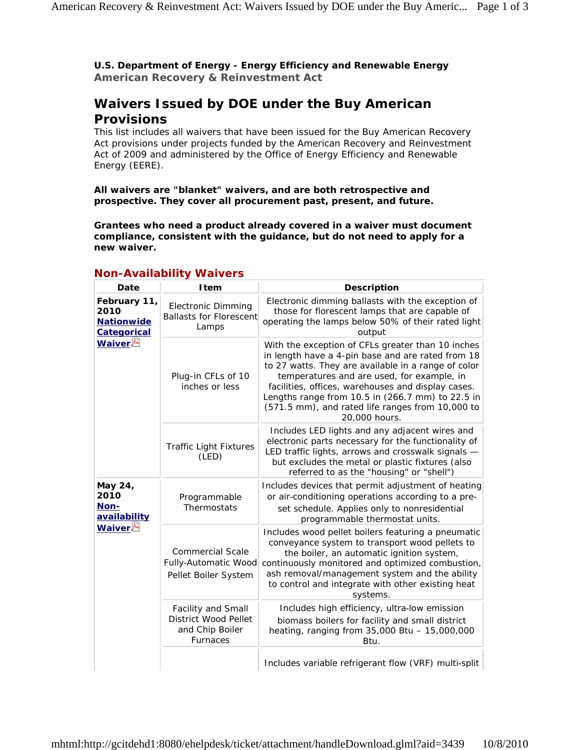**U.S. Department of Energy - Energy Efficiency and Renewable Energy American Recovery & Reinvestment Act** 

## **Waivers Issued by DOE under the Buy American Provisions**

This list includes all waivers that have been issued for the Buy American Recovery Act provisions under projects funded by the American Recovery and Reinvestment Act of 2009 and administered by the Office of Energy Efficiency and Renewable Energy (EERE).

**All waivers are "blanket" waivers, and are both retrospective and prospective. They cover all procurement past, present, and future.**

**Grantees who need a product already covered in a waiver must document compliance, consistent with the guidance, but do not need to apply for a new waiver.**

| Date                                                                      | <b>Item</b>                                                                      | <b>Description</b>                                                                                                                                                                                                                                                                                                                                                                         |
|---------------------------------------------------------------------------|----------------------------------------------------------------------------------|--------------------------------------------------------------------------------------------------------------------------------------------------------------------------------------------------------------------------------------------------------------------------------------------------------------------------------------------------------------------------------------------|
| February 11,<br>2010<br><b>Nationwide</b><br><b>Categorical</b><br>Waiver | <b>Electronic Dimming</b><br><b>Ballasts for Florescent</b><br>Lamps             | Electronic dimming ballasts with the exception of<br>those for florescent lamps that are capable of<br>operating the lamps below 50% of their rated light<br>output                                                                                                                                                                                                                        |
|                                                                           | Plug-in CFLs of 10<br>inches or less                                             | With the exception of CFLs greater than 10 inches<br>in length have a 4-pin base and are rated from 18<br>to 27 watts. They are available in a range of color<br>temperatures and are used, for example, in<br>facilities, offices, warehouses and display cases.<br>Lengths range from 10.5 in (266.7 mm) to 22.5 in<br>(571.5 mm), and rated life ranges from 10,000 to<br>20,000 hours. |
|                                                                           | <b>Traffic Light Fixtures</b><br>(LED)                                           | Includes LED lights and any adjacent wires and<br>electronic parts necessary for the functionality of<br>LED traffic lights, arrows and crosswalk signals -<br>but excludes the metal or plastic fixtures (also<br>referred to as the "housing" or "shell")                                                                                                                                |
| May 24,<br>2010<br>Non-<br>availability<br>Waiver                         | Programmable<br>Thermostats                                                      | Includes devices that permit adjustment of heating<br>or air-conditioning operations according to a pre-<br>set schedule. Applies only to nonresidential<br>programmable thermostat units.                                                                                                                                                                                                 |
|                                                                           | <b>Commercial Scale</b><br>Fully-Automatic Wood<br>Pellet Boiler System          | Includes wood pellet boilers featuring a pneumatic<br>conveyance system to transport wood pellets to<br>the boiler, an automatic ignition system,<br>continuously monitored and optimized combustion,<br>ash removal/management system and the ability<br>to control and integrate with other existing heat<br>systems.                                                                    |
|                                                                           | Facility and Small<br>District Wood Pellet<br>and Chip Boiler<br><b>Furnaces</b> | Includes high efficiency, ultra-low emission<br>biomass boilers for facility and small district<br>heating, ranging from 35,000 Btu - 15,000,000<br>Btu.                                                                                                                                                                                                                                   |
|                                                                           |                                                                                  | Includes variable refrigerant flow (VRF) multi-split                                                                                                                                                                                                                                                                                                                                       |

## **Non-Availability Waivers**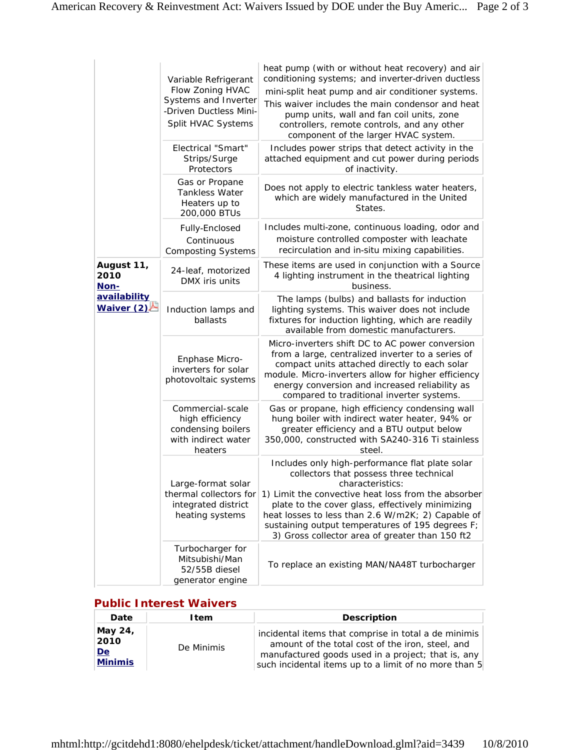|                                                            | Variable Refrigerant<br>Flow Zoning HVAC<br>Systems and Inverter<br>-Driven Ductless Mini-<br>Split HVAC Systems | heat pump (with or without heat recovery) and air<br>conditioning systems; and inverter-driven ductless<br>mini-split heat pump and air conditioner systems.<br>This waiver includes the main condensor and heat<br>pump units, wall and fan coil units, zone<br>controllers, remote controls, and any other<br>component of the larger HVAC system.                                  |
|------------------------------------------------------------|------------------------------------------------------------------------------------------------------------------|---------------------------------------------------------------------------------------------------------------------------------------------------------------------------------------------------------------------------------------------------------------------------------------------------------------------------------------------------------------------------------------|
|                                                            | <b>Electrical "Smart"</b><br>Strips/Surge<br>Protectors                                                          | Includes power strips that detect activity in the<br>attached equipment and cut power during periods<br>of inactivity.                                                                                                                                                                                                                                                                |
|                                                            | Gas or Propane<br><b>Tankless Water</b><br>Heaters up to<br>200,000 BTUs                                         | Does not apply to electric tankless water heaters,<br>which are widely manufactured in the United<br><i>States.</i>                                                                                                                                                                                                                                                                   |
|                                                            | Fully-Enclosed<br>Continuous<br><b>Composting Systems</b>                                                        | Includes multi-zone, continuous loading, odor and<br>moisture controlled composter with leachate<br>recirculation and in-situ mixing capabilities.                                                                                                                                                                                                                                    |
| August 11,<br>2010<br>Non-<br>availability<br>Waiver $(2)$ | 24-leaf, motorized<br>DMX iris units                                                                             | These items are used in conjunction with a Source<br>4 lighting instrument in the theatrical lighting<br>business.                                                                                                                                                                                                                                                                    |
|                                                            | Induction lamps and<br>ballasts                                                                                  | The lamps (bulbs) and ballasts for induction<br>lighting systems. This waiver does not include<br>fixtures for induction lighting, which are readily<br>available from domestic manufacturers.                                                                                                                                                                                        |
|                                                            | Enphase Micro-<br>inverters for solar<br>photovoltaic systems                                                    | Micro-inverters shift DC to AC power conversion<br>from a large, centralized inverter to a series of<br>compact units attached directly to each solar<br>module. Micro-inverters allow for higher efficiency<br>energy conversion and increased reliability as<br>compared to traditional inverter systems.                                                                           |
|                                                            | Commercial-scale<br>high efficiency<br>condensing boilers<br>with indirect water<br>heaters                      | Gas or propane, high efficiency condensing wall<br>hung boiler with indirect water heater, 94% or<br>greater efficiency and a BTU output below<br>350,000, constructed with SA240-316 Ti stainless<br>steel.                                                                                                                                                                          |
|                                                            | Large-format solar<br>thermal collectors for<br>integrated district<br>heating systems                           | Includes only high-performance flat plate solar<br>collectors that possess three technical<br>characteristics:<br>1) Limit the convective heat loss from the absorber<br>plate to the cover glass, effectively minimizing<br>heat losses to less than 2.6 W/m2K; 2) Capable of<br>sustaining output temperatures of 195 degrees F;<br>3) Gross collector area of greater than 150 ft2 |
|                                                            | Turbocharger for<br>Mitsubishi/Man<br>52/55B diesel<br>generator engine                                          | To replace an existing MAN/NA48T turbocharger                                                                                                                                                                                                                                                                                                                                         |

## **Public Interest Waivers**

| Date                                    | ltem       | <b>Description</b>                                                                                                                                                                                                             |
|-----------------------------------------|------------|--------------------------------------------------------------------------------------------------------------------------------------------------------------------------------------------------------------------------------|
| May 24,<br>2010<br>De<br><b>Minimis</b> | De Minimis | incidental items that comprise in total a <i>de minimis</i><br>amount of the total cost of the iron, steel, and<br>manufactured goods used in a project; that is, any<br>such incidental items up to a limit of no more than 5 |